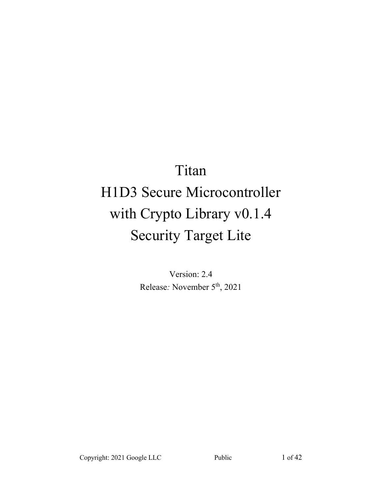# Titan H1D3 Secure Microcontroller with Crypto Library v0.1.4 Security Target Lite

Version: 2.4 Release: November 5<sup>th</sup>, 2021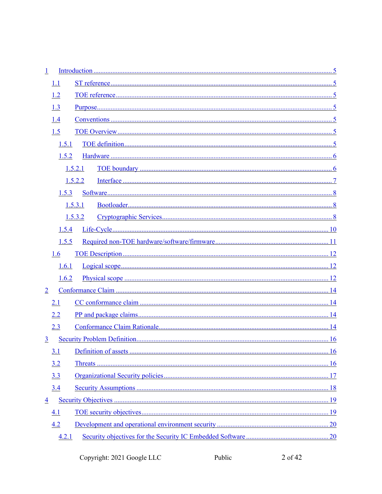| 1.1            |  |
|----------------|--|
| 1.2            |  |
| 1.3            |  |
| 1.4            |  |
| 1.5            |  |
| 1.5.1          |  |
| 1.5.2          |  |
| 1.5.2.1        |  |
| 1.5.2.2        |  |
| 1.5.3          |  |
| 1.5.3.1        |  |
| 1.5.3.2        |  |
| 1.5.4          |  |
| 1.5.5          |  |
| 1.6            |  |
| 1.6.1          |  |
| 1.6.2          |  |
| $\overline{2}$ |  |
| 2.1            |  |
| 2.2            |  |
| 2.3            |  |
| 3              |  |
| 3.1            |  |
| 3.2            |  |
| 3.3            |  |
| 3.4            |  |
| $\overline{4}$ |  |
| 4.1            |  |
| 4.2            |  |
| 4.2.1          |  |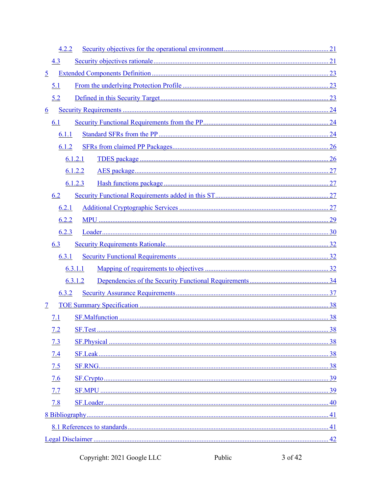| 4.2.2          |         |  |
|----------------|---------|--|
| 4.3            |         |  |
| $\overline{5}$ |         |  |
| 5.1            |         |  |
| 5.2            |         |  |
| 6              |         |  |
| 6.1            |         |  |
| 6.1.1          |         |  |
| 6.1.2          |         |  |
|                | 6.1.2.1 |  |
|                | 6.1.2.2 |  |
|                | 6.1.2.3 |  |
| 6.2            |         |  |
| 6.2.1          |         |  |
| 6.2.2          |         |  |
| 6.2.3          |         |  |
| 6.3            |         |  |
| 6.3.1          |         |  |
|                | 6.3.1.1 |  |
|                | 6.3.1.2 |  |
| 6.3.2          |         |  |
| $\overline{7}$ |         |  |
| 7.1            |         |  |
| 7.2            |         |  |
| 7.3            |         |  |
| 7.4            |         |  |
| 7.5            |         |  |
| 7.6            |         |  |
| 7.7            |         |  |
| 7.8            |         |  |
|                |         |  |
|                |         |  |
|                |         |  |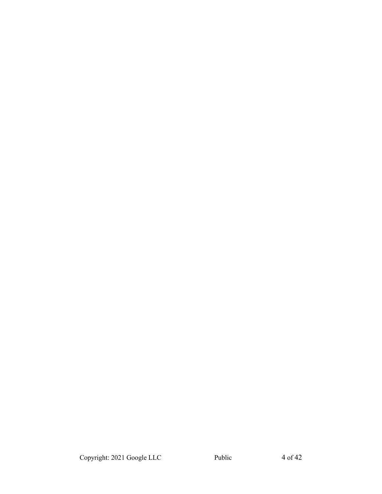Copyright: 2021 Google LLC Public 4 of 42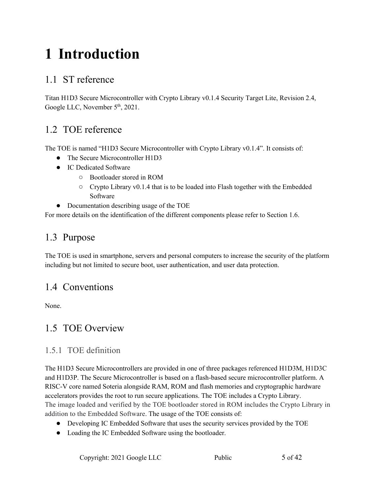# **1 Introduction**

## 1.1 ST reference

Titan H1D3 Secure Microcontroller with Crypto Library v0.1.4 Security Target Lite, Revision 2.4, Google LLC, November 5<sup>th</sup>, 2021.

## 1.2 TOE reference

The TOE is named "H1D3 Secure Microcontroller with Crypto Library v0.1.4". It consists of:

- The Secure Microcontroller H1D3
- IC Dedicated Software
	- Bootloader stored in ROM
	- Crypto Library v0.1.4 that is to be loaded into Flash together with the Embedded Software
- Documentation describing usage of the TOE

For more details on the identification of the different components please refer to Section 1.6.

## 1.3 Purpose

The TOE is used in smartphone, servers and personal computers to increase the security of the platform including but not limited to secure boot, user authentication, and user data protection.

## 1.4 Conventions

None.

## 1.5 TOE Overview

## 1.5.1 TOE definition

The H1D3 Secure Microcontrollers are provided in one of three packages referenced H1D3M, H1D3C and H1D3P. The Secure Microcontroller is based on a flash-based secure microcontroller platform. A RISC-V core named Soteria alongside RAM, ROM and flash memories and cryptographic hardware accelerators provides the root to run secure applications. The TOE includes a Crypto Library. The image loaded and verified by the TOE bootloader stored in ROM includes the Crypto Library in addition to the Embedded Software. The usage of the TOE consists of:

- Developing IC Embedded Software that uses the security services provided by the TOE
- Loading the IC Embedded Software using the bootloader.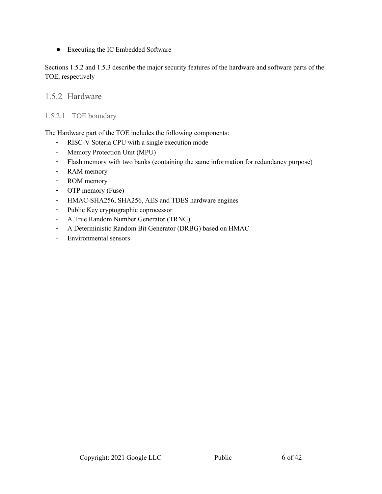● Executing the IC Embedded Software

Sections 1.5.2 and 1.5.3 describe the major security features of the hardware and software parts of the TOE, respectively

### 1.5.2 Hardware

#### 1.5.2.1 TOE boundary

The Hardware part of the TOE includes the following components:

- RISC-V Soteria CPU with a single execution mode
- Memory Protection Unit (MPU)
- Flash memory with two banks (containing the same information for redundancy purpose)
- RAM memory
- ROM memory
- OTP memory (Fuse)
- HMAC-SHA256, SHA256, AES and TDES hardware engines
- Public Key cryptographic coprocessor
- A True Random Number Generator (TRNG)
- A Deterministic Random Bit Generator (DRBG) based on HMAC
- Environmental sensors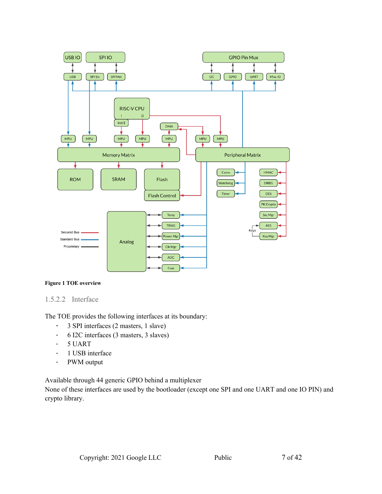



#### 1.5.2.2 Interface

The TOE provides the following interfaces at its boundary:

- 3 SPI interfaces (2 masters, 1 slave)
- 6 I2C interfaces (3 masters, 3 slaves)
- 5 UART
- 1 USB interface
- PWM output

Available through 44 generic GPIO behind a multiplexer

None of these interfaces are used by the bootloader (except one SPI and one UART and one IO PIN) and crypto library.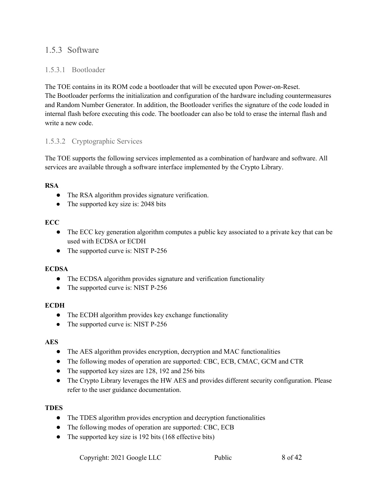### 1.5.3 Software

#### 1.5.3.1 Bootloader

The TOE contains in its ROM code a bootloader that will be executed upon Power-on-Reset. The Bootloader performs the initialization and configuration of the hardware including countermeasures and Random Number Generator. In addition, the Bootloader verifies the signature of the code loaded in internal flash before executing this code. The bootloader can also be told to erase the internal flash and write a new code.

#### 1.5.3.2 Cryptographic Services

The TOE supports the following services implemented as a combination of hardware and software. All services are available through a software interface implemented by the Crypto Library.

#### **RSA**

- The RSA algorithm provides signature verification.
- The supported key size is: 2048 bits

#### **ECC**

- The ECC key generation algorithm computes a public key associated to a private key that can be used with ECDSA or ECDH
- The supported curve is: NIST P-256

#### **ECDSA**

- The ECDSA algorithm provides signature and verification functionality
- The supported curve is: NIST P-256

#### **ECDH**

- The ECDH algorithm provides key exchange functionality
- The supported curve is: NIST P-256

#### **AES**

- The AES algorithm provides encryption, decryption and MAC functionalities
- The following modes of operation are supported: CBC, ECB, CMAC, GCM and CTR
- The supported key sizes are 128, 192 and 256 bits
- The Crypto Library leverages the HW AES and provides different security configuration. Please refer to the user guidance documentation.

#### **TDES**

- The TDES algorithm provides encryption and decryption functionalities
- The following modes of operation are supported: CBC, ECB
- The supported key size is 192 bits (168 effective bits)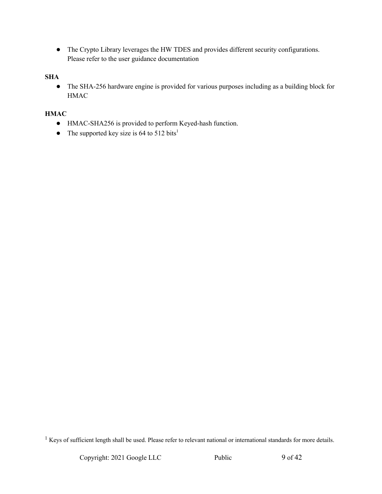● The Crypto Library leverages the HW TDES and provides different security configurations. Please refer to the user guidance documentation

#### **SHA**

● The SHA-256 hardware engine is provided for various purposes including as a building block for **HMAC** 

#### **HMAC**

- HMAC-SHA256 is provided to perform Keyed-hash function.
- The supported key size is 64 to 512 bits<sup>1</sup>

<sup>1</sup> Keys of sufficient length shall be used. Please refer to relevant national or international standards for more details.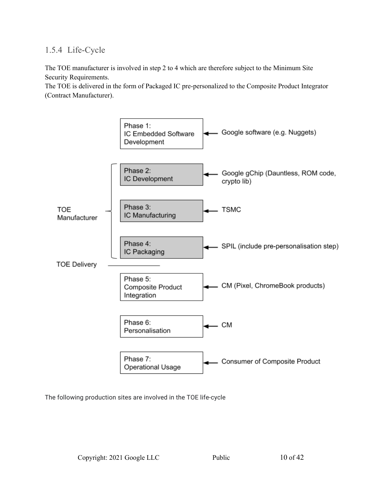## 1.5.4 Life-Cycle

The TOE manufacturer is involved in step 2 to 4 which are therefore subject to the Minimum Site Security Requirements.

The TOE is delivered in the form of Packaged IC pre-personalized to the Composite Product Integrator (Contract Manufacturer).



The following production sites are involved in the TOE life-cycle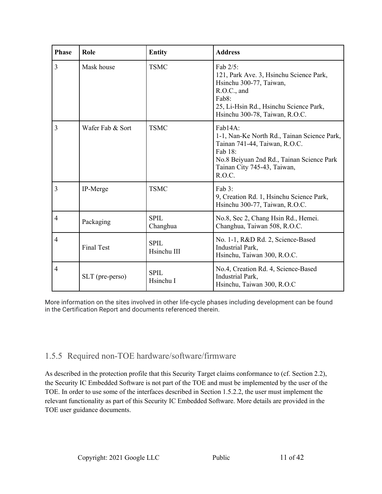| <b>Phase</b>   | Role              | <b>Entity</b>              | <b>Address</b>                                                                                                                                                                           |
|----------------|-------------------|----------------------------|------------------------------------------------------------------------------------------------------------------------------------------------------------------------------------------|
| $\overline{3}$ | Mask house        | <b>TSMC</b>                | Fab 2/5:<br>121, Park Ave. 3, Hsinchu Science Park,<br>Hsinchu 300-77, Taiwan,<br>R.O.C., and<br>Fab8:<br>25, Li-Hsin Rd., Hsinchu Science Park,<br>Hsinchu 300-78, Taiwan, R.O.C.       |
| $\overline{3}$ | Wafer Fab & Sort  | <b>TSMC</b>                | Fab14A:<br>1-1, Nan-Ke North Rd., Tainan Science Park,<br>Tainan 741-44, Taiwan, R.O.C.<br>Fab 18:<br>No.8 Beiyuan 2nd Rd., Tainan Science Park<br>Tainan City 745-43, Taiwan,<br>R.O.C. |
| 3              | IP-Merge          | <b>TSMC</b>                | Fab 3:<br>9, Creation Rd. 1, Hsinchu Science Park,<br>Hsinchu 300-77, Taiwan, R.O.C.                                                                                                     |
| $\overline{4}$ | Packaging         | <b>SPIL</b><br>Changhua    | No.8, Sec 2, Chang Hsin Rd., Hemei.<br>Changhua, Taiwan 508, R.O.C.                                                                                                                      |
| $\overline{4}$ | <b>Final Test</b> | <b>SPIL</b><br>Hsinchu III | No. 1-1, R&D Rd. 2, Science-Based<br>Industrial Park,<br>Hsinchu, Taiwan 300, R.O.C.                                                                                                     |
| $\overline{4}$ | SLT (pre-perso)   | <b>SPIL</b><br>Hsinchu I   | No.4, Creation Rd. 4, Science-Based<br>Industrial Park,<br>Hsinchu, Taiwan 300, R.O.C                                                                                                    |

More information on the sites involved in other life-cycle phases including development can be found in the Certification Report and documents referenced therein.

### 1.5.5 Required non-TOE hardware/software/firmware

As described in the protection profile that this Security Target claims conformance to (cf. Section 2.2), the Security IC Embedded Software is not part of the TOE and must be implemented by the user of the TOE. In order to use some of the interfaces described in Section 1.5.2.2, the user must implement the relevant functionality as part of this Security IC Embedded Software. More details are provided in the TOE user guidance documents.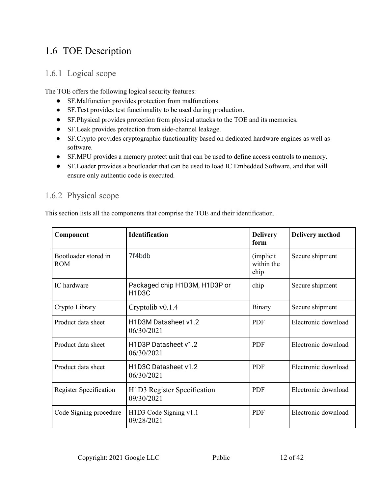## 1.6 TOE Description

## 1.6.1 Logical scope

The TOE offers the following logical security features:

- SF.Malfunction provides protection from malfunctions.
- SF.Test provides test functionality to be used during production.
- SF.Physical provides protection from physical attacks to the TOE and its memories.
- SF.Leak provides protection from side-channel leakage.
- SF.Crypto provides cryptographic functionality based on dedicated hardware engines as well as software.
- SF.MPU provides a memory protect unit that can be used to define access controls to memory.
- SF.Loader provides a bootloader that can be used to load IC Embedded Software, and that will ensure only authentic code is executed.

## 1.6.2 Physical scope

This section lists all the components that comprise the TOE and their identification.

| Component                          | Identification                                                   | <b>Delivery</b><br>form                 | <b>Delivery method</b> |
|------------------------------------|------------------------------------------------------------------|-----------------------------------------|------------------------|
| Bootloader stored in<br><b>ROM</b> | 7f4bdb                                                           | <i>(implicit)</i><br>within the<br>chip | Secure shipment        |
| IC hardware                        | Packaged chip H1D3M, H1D3P or<br>H <sub>1</sub> D <sub>3</sub> C | chip                                    | Secure shipment        |
| Crypto Library                     | Cryptolib $v0.1.4$                                               | Binary                                  | Secure shipment        |
| Product data sheet                 | H1D3M Datasheet v1.2<br>06/30/2021                               | <b>PDF</b>                              | Electronic download    |
| Product data sheet                 | H1D3P Datasheet v1.2<br>06/30/2021                               | <b>PDF</b>                              | Electronic download    |
| Product data sheet                 | H1D3C Datasheet v1.2<br>06/30/2021                               | <b>PDF</b>                              | Electronic download    |
| Register Specification             | H1D3 Register Specification<br>09/30/2021                        | <b>PDF</b>                              | Electronic download    |
| Code Signing procedure             | H1D3 Code Signing v1.1<br>09/28/2021                             | <b>PDF</b>                              | Electronic download    |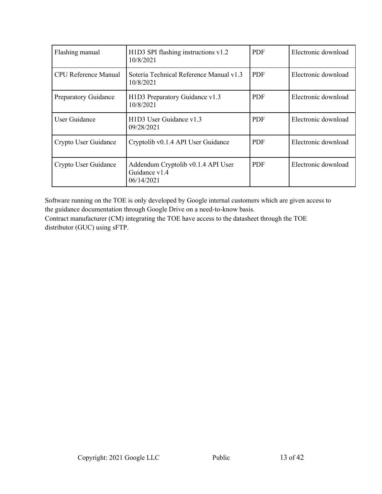| Flashing manual             | H1D3 SPI flashing instructions v1.2<br>10/8/2021                  | <b>PDF</b> | Electronic download |
|-----------------------------|-------------------------------------------------------------------|------------|---------------------|
| <b>CPU Reference Manual</b> | Soteria Technical Reference Manual v1.3<br>10/8/2021              | <b>PDF</b> | Electronic download |
| Preparatory Guidance        | H1D3 Preparatory Guidance v1.3<br>10/8/2021                       | <b>PDF</b> | Electronic download |
| <b>User Guidance</b>        | H1D3 User Guidance v1.3<br>09/28/2021                             | <b>PDF</b> | Electronic download |
| Crypto User Guidance        | Cryptolib v0.1.4 API User Guidance                                | <b>PDF</b> | Electronic download |
| Crypto User Guidance        | Addendum Cryptolib v0.1.4 API User<br>Guidance v1.4<br>06/14/2021 | <b>PDF</b> | Electronic download |

Software running on the TOE is only developed by Google internal customers which are given access to the guidance documentation through Google Drive on a need-to-know basis.

Contract manufacturer (CM) integrating the TOE have access to the datasheet through the TOE distributor (GUC) using sFTP.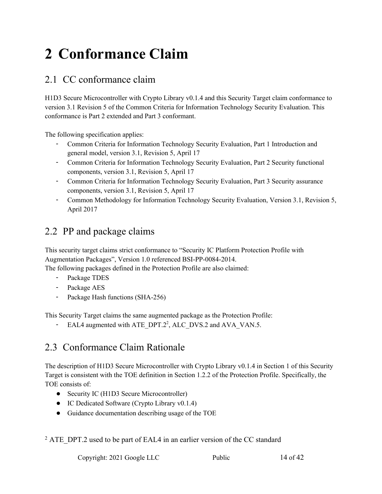# **2 Conformance Claim**

## 2.1 CC conformance claim

H1D3 Secure Microcontroller with Crypto Library v0.1.4 and this Security Target claim conformance to version 3.1 Revision 5 of the Common Criteria for Information Technology Security Evaluation. This conformance is Part 2 extended and Part 3 conformant.

The following specification applies:

- Common Criteria for Information Technology Security Evaluation, Part 1 Introduction and general model, version 3.1, Revision 5, April 17
- Common Criteria for Information Technology Security Evaluation, Part 2 Security functional components, version 3.1, Revision 5, April 17
- Common Criteria for Information Technology Security Evaluation, Part 3 Security assurance components, version 3.1, Revision 5, April 17
- Common Methodology for Information Technology Security Evaluation, Version 3.1, Revision 5, April 2017

## 2.2 PP and package claims

This security target claims strict conformance to "Security IC Platform Protection Profile with Augmentation Packages", Version 1.0 referenced BSI-PP-0084-2014.

The following packages defined in the Protection Profile are also claimed:

- Package TDES
- Package AES
- Package Hash functions (SHA-256)

This Security Target claims the same augmented package as the Protection Profile:

- EAL4 augmented with ATE\_DPT.2<sup>2</sup>, ALC\_DVS.2 and AVA\_VAN.5.

## 2.3 Conformance Claim Rationale

The description of H1D3 Secure Microcontroller with Crypto Library v0.1.4 in Section 1 of this Security Target is consistent with the TOE definition in Section 1.2.2 of the Protection Profile. Specifically, the TOE consists of:

- Security IC (H1D3 Secure Microcontroller)
- IC Dedicated Software (Crypto Library v0.1.4)
- Guidance documentation describing usage of the TOE

<sup>2</sup> ATE DPT.2 used to be part of EAL4 in an earlier version of the CC standard

Copyright: 2021 Google LLC Public 14 of 42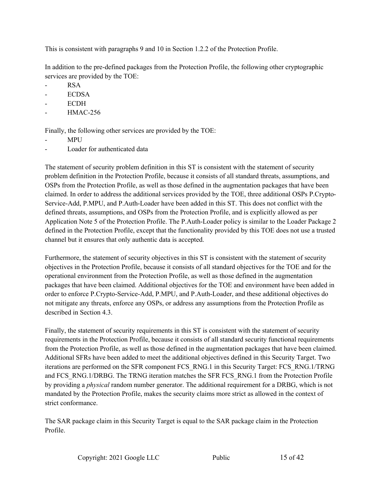This is consistent with paragraphs 9 and 10 in Section 1.2.2 of the Protection Profile.

In addition to the pre-defined packages from the Protection Profile, the following other cryptographic services are provided by the TOE:

- RSA
- ECDSA
- ECDH
- HMAC-256

Finally, the following other services are provided by the TOE:

- MPU
- Loader for authenticated data

The statement of security problem definition in this ST is consistent with the statement of security problem definition in the Protection Profile, because it consists of all standard threats, assumptions, and OSPs from the Protection Profile, as well as those defined in the augmentation packages that have been claimed. In order to address the additional services provided by the TOE, three additional OSPs P.Crypto-Service-Add, P.MPU, and P.Auth-Loader have been added in this ST. This does not conflict with the defined threats, assumptions, and OSPs from the Protection Profile, and is explicitly allowed as per Application Note 5 of the Protection Profile. The P.Auth-Loader policy is similar to the Loader Package 2 defined in the Protection Profile, except that the functionality provided by this TOE does not use a trusted channel but it ensures that only authentic data is accepted.

Furthermore, the statement of security objectives in this ST is consistent with the statement of security objectives in the Protection Profile, because it consists of all standard objectives for the TOE and for the operational environment from the Protection Profile, as well as those defined in the augmentation packages that have been claimed. Additional objectives for the TOE and environment have been added in order to enforce P.Crypto-Service-Add, P.MPU, and P.Auth-Loader, and these additional objectives do not mitigate any threats, enforce any OSPs, or address any assumptions from the Protection Profile as described in Section 4.3.

Finally, the statement of security requirements in this ST is consistent with the statement of security requirements in the Protection Profile, because it consists of all standard security functional requirements from the Protection Profile, as well as those defined in the augmentation packages that have been claimed. Additional SFRs have been added to meet the additional objectives defined in this Security Target. Two iterations are performed on the SFR component FCS\_RNG.1 in this Security Target: FCS\_RNG.1/TRNG and FCS\_RNG.1/DRBG. The TRNG iteration matches the SFR FCS\_RNG.1 from the Protection Profile by providing a *physical* random number generator. The additional requirement for a DRBG, which is not mandated by the Protection Profile, makes the security claims more strict as allowed in the context of strict conformance.

The SAR package claim in this Security Target is equal to the SAR package claim in the Protection Profile.

Copyright: 2021 Google LLC Public Public 15 of 42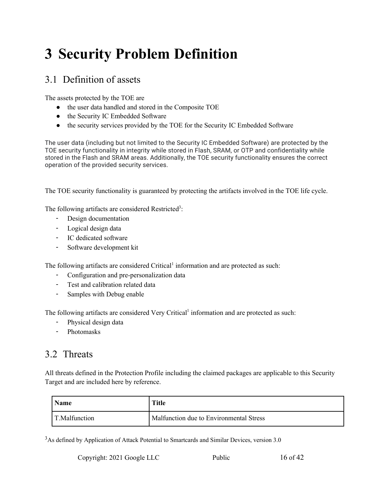# **3 Security Problem Definition**

## 3.1 Definition of assets

The assets protected by the TOE are

- the user data handled and stored in the Composite TOE
- the Security IC Embedded Software
- the security services provided by the TOE for the Security IC Embedded Software

The user data (including but not limited to the Security IC Embedded Software) are protected by the TOE security functionality in integrity while stored in Flash, SRAM, or OTP and confidentiality while stored in the Flash and SRAM areas. Additionally, the TOE security functionality ensures the correct operation of the provided security services.

The TOE security functionality is guaranteed by protecting the artifacts involved in the TOE life cycle.

The following artifacts are considered Restricted<sup>3</sup>:

- Design documentation
- Logical design data
- IC dedicated software
- Software development kit

The following artifacts are considered Critical<sup>1</sup> information and are protected as such:

- Configuration and pre-personalization data
- Test and calibration related data
- Samples with Debug enable

The following artifacts are considered Very Critical<sup>1</sup> information and are protected as such:

- Physical design data
- Photomasks

## 3.2 Threats

All threats defined in the Protection Profile including the claimed packages are applicable to this Security Target and are included here by reference.

| <b>Name</b>   | <b>Title</b>                            |
|---------------|-----------------------------------------|
| T.Malfunction | Malfunction due to Environmental Stress |

 $3$ As defined by Application of Attack Potential to Smartcards and Similar Devices, version 3.0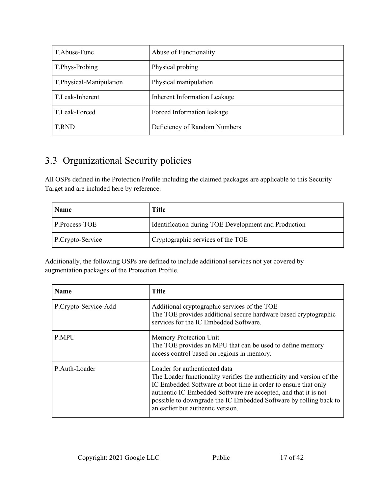| T.Abuse-Func            | Abuse of Functionality              |
|-------------------------|-------------------------------------|
| T.Phys-Probing          | Physical probing                    |
| T.Physical-Manipulation | Physical manipulation               |
| T.Leak-Inherent         | <b>Inherent Information Leakage</b> |
| T.Leak-Forced           | Forced Information leakage          |
| <b>T.RND</b>            | Deficiency of Random Numbers        |

## 3.3 Organizational Security policies

All OSPs defined in the Protection Profile including the claimed packages are applicable to this Security Target and are included here by reference.

| <b>Name</b>      | Title                                                |
|------------------|------------------------------------------------------|
| P.Process-TOE    | Identification during TOE Development and Production |
| P.Crypto-Service | Cryptographic services of the TOE                    |

Additionally, the following OSPs are defined to include additional services not yet covered by augmentation packages of the Protection Profile.

| <b>Name</b>          | <b>Title</b>                                                                                                                                                                                                                                                                                                                                          |
|----------------------|-------------------------------------------------------------------------------------------------------------------------------------------------------------------------------------------------------------------------------------------------------------------------------------------------------------------------------------------------------|
| P.Crypto-Service-Add | Additional cryptographic services of the TOE<br>The TOE provides additional secure hardware based cryptographic<br>services for the IC Embedded Software.                                                                                                                                                                                             |
| <b>P.MPU</b>         | Memory Protection Unit<br>The TOE provides an MPU that can be used to define memory<br>access control based on regions in memory.                                                                                                                                                                                                                     |
| P.Auth-Loader        | Loader for authenticated data<br>The Loader functionality verifies the authenticity and version of the<br>IC Embedded Software at boot time in order to ensure that only<br>authentic IC Embedded Software are accepted, and that it is not<br>possible to downgrade the IC Embedded Software by rolling back to<br>an earlier but authentic version. |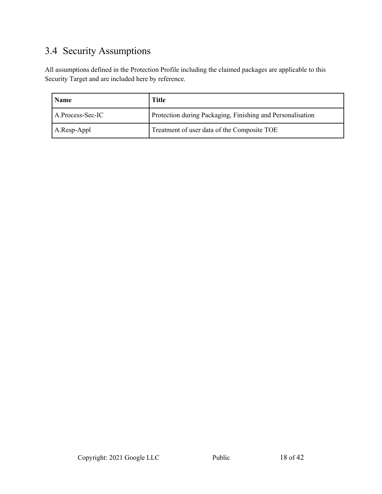## 3.4 Security Assumptions

All assumptions defined in the Protection Profile including the claimed packages are applicable to this Security Target and are included here by reference.

| <b>Name</b>      | <b>Title</b>                                               |
|------------------|------------------------------------------------------------|
| A.Process-Sec-IC | Protection during Packaging, Finishing and Personalisation |
| A.Resp-Appl      | Treatment of user data of the Composite TOE                |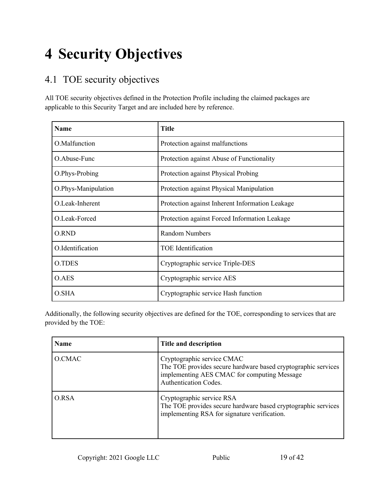# **4 Security Objectives**

## 4.1 TOE security objectives

All TOE security objectives defined in the Protection Profile including the claimed packages are applicable to this Security Target and are included here by reference.

| <b>Name</b>         | <b>Title</b>                                    |
|---------------------|-------------------------------------------------|
| O.Malfunction       | Protection against malfunctions                 |
| O.Abuse-Func        | Protection against Abuse of Functionality       |
| O.Phys-Probing      | Protection against Physical Probing             |
| O.Phys-Manipulation | Protection against Physical Manipulation        |
| O.Leak-Inherent     | Protection against Inherent Information Leakage |
| O.Leak-Forced       | Protection against Forced Information Leakage   |
| O.RND               | <b>Random Numbers</b>                           |
| O.Identification    | <b>TOE</b> Identification                       |
| O.TDES              | Cryptographic service Triple-DES                |
| O.AES               | Cryptographic service AES                       |
| O.SHA               | Cryptographic service Hash function             |

Additionally, the following security objectives are defined for the TOE, corresponding to services that are provided by the TOE:

| <b>Name</b> | Title and description                                                                                                                                                      |
|-------------|----------------------------------------------------------------------------------------------------------------------------------------------------------------------------|
| O.CMAC      | Cryptographic service CMAC<br>The TOE provides secure hardware based cryptographic services<br>implementing AES CMAC for computing Message<br><b>Authentication Codes.</b> |
| O.RSA       | Cryptographic service RSA<br>The TOE provides secure hardware based cryptographic services<br>implementing RSA for signature verification.                                 |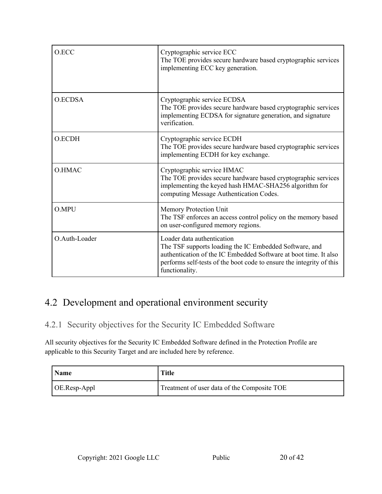| O.ECC         | Cryptographic service ECC<br>The TOE provides secure hardware based cryptographic services<br>implementing ECC key generation.                                                                                                                     |
|---------------|----------------------------------------------------------------------------------------------------------------------------------------------------------------------------------------------------------------------------------------------------|
| O.ECDSA       | Cryptographic service ECDSA<br>The TOE provides secure hardware based cryptographic services<br>implementing ECDSA for signature generation, and signature<br>verification.                                                                        |
| O.ECDH        | Cryptographic service ECDH<br>The TOE provides secure hardware based cryptographic services<br>implementing ECDH for key exchange.                                                                                                                 |
| O.HMAC        | Cryptographic service HMAC<br>The TOE provides secure hardware based cryptographic services<br>implementing the keyed hash HMAC-SHA256 algorithm for<br>computing Message Authentication Codes.                                                    |
| <b>O.MPU</b>  | Memory Protection Unit<br>The TSF enforces an access control policy on the memory based<br>on user-configured memory regions.                                                                                                                      |
| O.Auth-Loader | Loader data authentication<br>The TSF supports loading the IC Embedded Software, and<br>authentication of the IC Embedded Software at boot time. It also<br>performs self-tests of the boot code to ensure the integrity of this<br>functionality. |

## 4.2 Development and operational environment security

4.2.1 Security objectives for the Security IC Embedded Software

All security objectives for the Security IC Embedded Software defined in the Protection Profile are applicable to this Security Target and are included here by reference.

| Name         | Title                                       |
|--------------|---------------------------------------------|
| OE.Resp-Appl | Treatment of user data of the Composite TOE |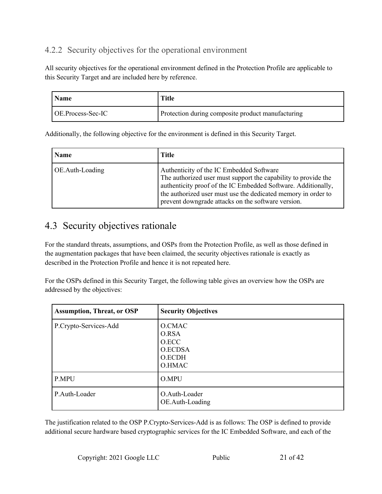### 4.2.2 Security objectives for the operational environment

All security objectives for the operational environment defined in the Protection Profile are applicable to this Security Target and are included here by reference.

| <b>Name</b>       | Title                                             |
|-------------------|---------------------------------------------------|
| OE.Process-Sec-IC | Protection during composite product manufacturing |

Additionally, the following objective for the environment is defined in this Security Target.

| <b>Name</b>     | <b>Title</b>                                                                                                                                                                                                                                                                                       |
|-----------------|----------------------------------------------------------------------------------------------------------------------------------------------------------------------------------------------------------------------------------------------------------------------------------------------------|
| OE.Auth-Loading | Authenticity of the IC Embedded Software<br>The authorized user must support the capability to provide the<br>authenticity proof of the IC Embedded Software. Additionally,<br>the authorized user must use the dedicated memory in order to<br>prevent downgrade attacks on the software version. |

## 4.3 Security objectives rationale

For the standard threats, assumptions, and OSPs from the Protection Profile, as well as those defined in the augmentation packages that have been claimed, the security objectives rationale is exactly as described in the Protection Profile and hence it is not repeated here.

For the OSPs defined in this Security Target, the following table gives an overview how the OSPs are addressed by the objectives:

| <b>Assumption, Threat, or OSP</b> | <b>Security Objectives</b>                              |
|-----------------------------------|---------------------------------------------------------|
| P.Crypto-Services-Add             | O.CMAC<br>O.RSA<br>O.ECC<br>O.ECDSA<br>O.ECDH<br>O.HMAC |
| P.MPU                             | <b>O.MPU</b>                                            |
| P.Auth-Loader                     | O.Auth-Loader<br>OE.Auth-Loading                        |

The justification related to the OSP P.Crypto-Services-Add is as follows: The OSP is defined to provide additional secure hardware based cryptographic services for the IC Embedded Software, and each of the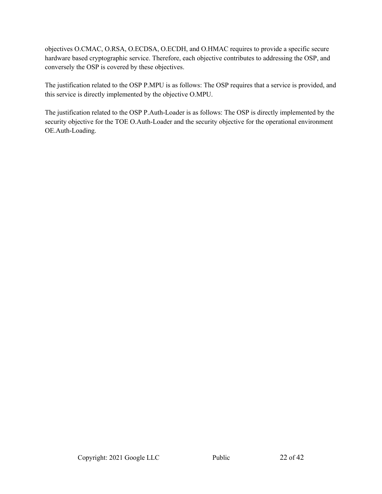objectives O.CMAC, O.RSA, O.ECDSA, O.ECDH, and O.HMAC requires to provide a specific secure hardware based cryptographic service. Therefore, each objective contributes to addressing the OSP, and conversely the OSP is covered by these objectives.

The justification related to the OSP P.MPU is as follows: The OSP requires that a service is provided, and this service is directly implemented by the objective O.MPU.

The justification related to the OSP P.Auth-Loader is as follows: The OSP is directly implemented by the security objective for the TOE O.Auth-Loader and the security objective for the operational environment OE.Auth-Loading.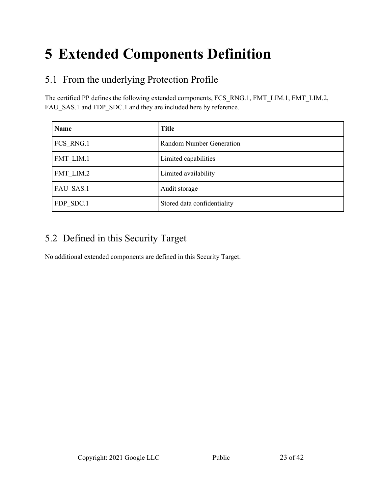# **5 Extended Components Definition**

## 5.1 From the underlying Protection Profile

The certified PP defines the following extended components, FCS\_RNG.1, FMT\_LIM.1, FMT\_LIM.2, FAU\_SAS.1 and FDP\_SDC.1 and they are included here by reference.

| Name      | <b>Title</b>                    |
|-----------|---------------------------------|
| FCS RNG.1 | <b>Random Number Generation</b> |
| FMT LIM.1 | Limited capabilities            |
| FMT LIM.2 | Limited availability            |
| FAU SAS.1 | Audit storage                   |
| FDP SDC.1 | Stored data confidentiality     |

# 5.2 Defined in this Security Target

No additional extended components are defined in this Security Target.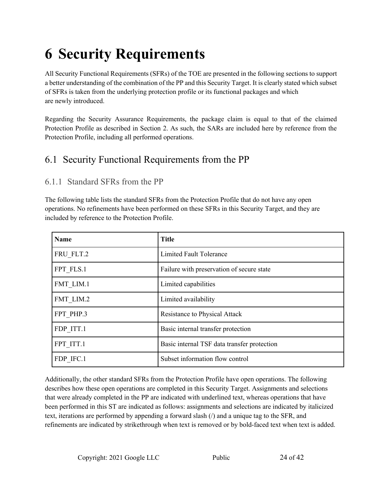# **6 Security Requirements**

All Security Functional Requirements (SFRs) of the TOE are presented in the following sections to support a better understanding of the combination of the PP and this Security Target. It is clearly stated which subset of SFRs is taken from the underlying protection profile or its functional packages and which are newly introduced.

Regarding the Security Assurance Requirements, the package claim is equal to that of the claimed Protection Profile as described in Section 2. As such, the SARs are included here by reference from the Protection Profile, including all performed operations.

## 6.1 Security Functional Requirements from the PP

### 6.1.1 Standard SFRs from the PP

The following table lists the standard SFRs from the Protection Profile that do not have any open operations. No refinements have been performed on these SFRs in this Security Target, and they are included by reference to the Protection Profile.

| <b>Name</b> | <b>Title</b>                                |
|-------------|---------------------------------------------|
| FRU FLT.2   | <b>Limited Fault Tolerance</b>              |
| FPT FLS.1   | Failure with preservation of secure state   |
| FMT LIM.1   | Limited capabilities                        |
| FMT LIM.2   | Limited availability                        |
| FPT PHP.3   | Resistance to Physical Attack               |
| FDP ITT.1   | Basic internal transfer protection          |
| FPT ITT.1   | Basic internal TSF data transfer protection |
| FDP IFC.1   | Subset information flow control             |

Additionally, the other standard SFRs from the Protection Profile have open operations. The following describes how these open operations are completed in this Security Target. Assignments and selections that were already completed in the PP are indicated with underlined text, whereas operations that have been performed in this ST are indicated as follows: assignments and selections are indicated by italicized text, iterations are performed by appending a forward slash (/) and a unique tag to the SFR, and refinements are indicated by strikethrough when text is removed or by bold-faced text when text is added.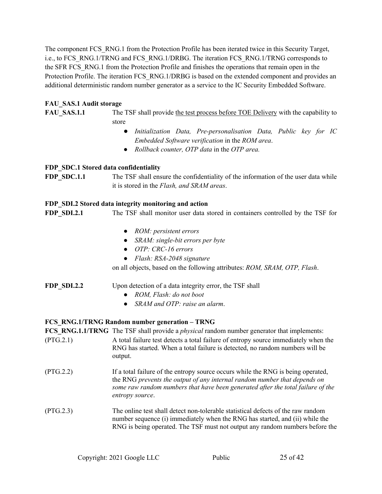The component FCS\_RNG.1 from the Protection Profile has been iterated twice in this Security Target, i.e., to FCS\_RNG.1/TRNG and FCS\_RNG.1/DRBG. The iteration FCS\_RNG.1/TRNG corresponds to the SFR FCS\_RNG.1 from the Protection Profile and finishes the operations that remain open in the Protection Profile. The iteration FCS\_RNG.1/DRBG is based on the extended component and provides an additional deterministic random number generator as a service to the IC Security Embedded Software.

#### **FAU\_SAS.1 Audit storage**

**FAU SAS.1.1** The TSF shall provide the test process before TOE Delivery with the capability to store

- *Initialization Data, Pre-personalisation Data, Public key for IC Embedded Software verification* in the *ROM area*.
- *Rollback counter, OTP data* in the *OTP area.*

#### **FDP\_SDC.1 Stored data confidentiality**

**FDP\_SDC.1.1** The TSF shall ensure the confidentiality of the information of the user data while it is stored in the *Flash, and SRAM areas*.

#### **FDP\_SDI.2 Stored data integrity monitoring and action**

**FDP** SDI.2.1 The TSF shall monitor user data stored in containers controlled by the TSF for

- *ROM: persistent errors*
- *SRAM: single-bit errors per byte*
- *OTP: CRC-16 errors*
- *Flash: RSA-2048 signature*

on all objects, based on the following attributes: *ROM, SRAM, OTP, Flash*.

#### **FDP** SDI.2.2 Upon detection of a data integrity error, the TSF shall

- *ROM, Flash: do not boot*
- *SRAM and OTP: raise an alarm*.

#### **FCS\_RNG.1/TRNG Random number generation – TRNG**

*entropy source*.

output.

**FCS\_RNG.1.1/TRNG** The TSF shall provide a *physical* random number generator that implements: (PTG.2.1) A total failure test detects a total failure of entropy source immediately when the RNG has started. When a total failure is detected, no random numbers will be

- (PTG.2.2) If a total failure of the entropy source occurs while the RNG is being operated, the RNG *prevents the output of any internal random number that depends on some raw random numbers that have been generated after the total failure of the*
- (PTG.2.3) The online test shall detect non-tolerable statistical defects of the raw random number sequence (i) immediately when the RNG has started, and (ii) while the RNG is being operated. The TSF must not output any random numbers before the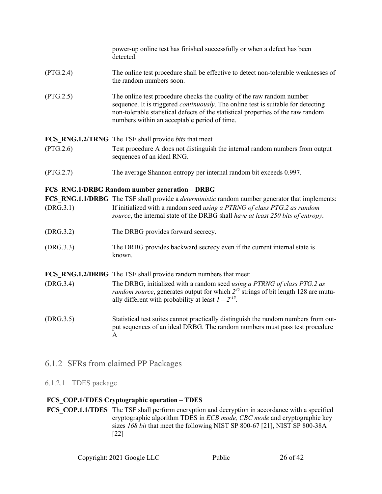power-up online test has finished successfully or when a defect has been detected.

#### (PTG.2.4) The online test procedure shall be effective to detect non-tolerable weaknesses of the random numbers soon.

(PTG.2.5) The online test procedure checks the quality of the raw random number sequence. It is triggered *continuously*. The online test is suitable for detecting non-tolerable statistical defects of the statistical properties of the raw random numbers within an acceptable period of time.

|           | FCS RNG.1.2/TRNG The TSF shall provide bits that meet                                                       |
|-----------|-------------------------------------------------------------------------------------------------------------|
| (PTG.2.6) | Test procedure A does not distinguish the internal random numbers from output<br>sequences of an ideal RNG. |

(PTG.2.7) The average Shannon entropy per internal random bit exceeds 0.997.

#### **FCS\_RNG.1/DRBG Random number generation – DRBG**

**FCS\_RNG.1.1/DRBG** The TSF shall provide a *deterministic* random number generator that implements: (DRG.3.1) If initialized with a random seed *using a PTRNG of class PTG.2 as random source*, the internal state of the DRBG shall *have at least 250 bits of entropy*.

- (DRG.3.2) The DRBG provides forward secrecy.
- (DRG.3.3) The DRBG provides backward secrecy even if the current internal state is known.

#### **FCS\_RNG.1.2/DRBG** The TSF shall provide random numbers that meet:

- (DRG.3.4) The DRBG, initialized with a random seed *using a PTRNG of class PTG.2 as random source*, generates output for which *235* strings of bit length 128 are mutually different with probability at least  $I - 2^{-18}$ .
- (DRG.3.5) Statistical test suites cannot practically distinguish the random numbers from output sequences of an ideal DRBG. The random numbers must pass test procedure A
- 6.1.2 SFRs from claimed PP Packages
- 6.1.2.1 TDES package

#### **FCS\_COP.1/TDES Cryptographic operation – TDES**

FCS COP.1.1/TDES The TSF shall perform encryption and decryption in accordance with a specified cryptographic algorithm TDES in *ECB mode, CBC mode* and cryptographic key sizes *168 bit* that meet the following NIST SP 800-67 [21], NIST SP 800-38A [22]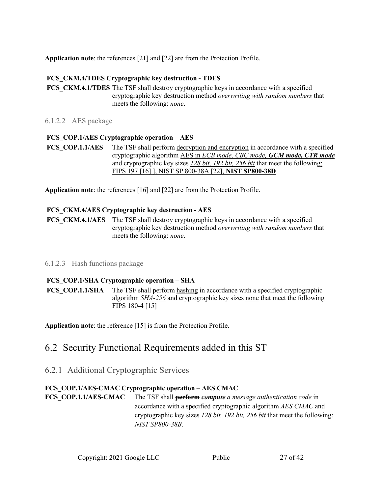**Application note**: the references [21] and [22] are from the Protection Profile.

#### **FCS\_CKM.4/TDES Cryptographic key destruction - TDES**

**FCS** CKM.4.1/TDES The TSF shall destroy cryptographic keys in accordance with a specified cryptographic key destruction method *overwriting with random numbers* that meets the following: *none*.

6.1.2.2 AES package

#### **FCS\_COP.1/AES Cryptographic operation – AES**

**FCS COP.1.1/AES** The TSF shall perform decryption and encryption in accordance with a specified cryptographic algorithm AES in *ECB mode, CBC mode, GCM mode, CTR mode* and cryptographic key sizes *128 bit, 192 bit, 256 bit* that meet the following: FIPS 197 [16] ], NIST SP 800-38A [22], **NIST SP800-38D**

**Application note**: the references [16] and [22] are from the Protection Profile.

#### **FCS\_CKM.4/AES Cryptographic key destruction - AES**

FCS CKM.4.1/AES The TSF shall destroy cryptographic keys in accordance with a specified cryptographic key destruction method *overwriting with random numbers* that meets the following: *none*.

6.1.2.3 Hash functions package

#### **FCS\_COP.1/SHA Cryptographic operation – SHA**

**FCS COP.1.1/SHA** The TSF shall perform hashing in accordance with a specified cryptographic algorithm *SHA-256* and cryptographic key sizes none that meet the following FIPS 180-4 [15]

**Application note**: the reference [15] is from the Protection Profile.

## 6.2 Security Functional Requirements added in this ST

### 6.2.1 Additional Cryptographic Services

#### **FCS\_COP.1/AES-CMAC Cryptographic operation – AES CMAC**

**FCS\_COP.1.1/AES-CMAC** The TSF shall **perform** *compute a message authentication code* in accordance with a specified cryptographic algorithm *AES CMAC* and cryptographic key sizes *128 bit, 192 bit, 256 bit* that meet the following: *NIST SP800-38B*.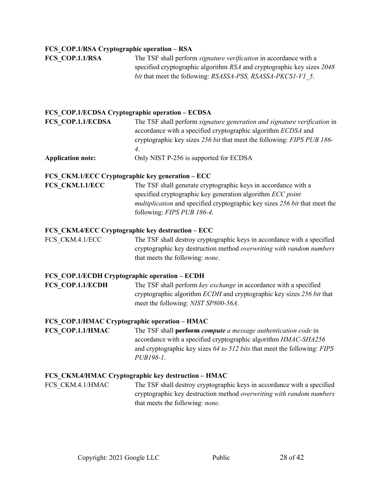#### **FCS\_COP.1/RSA Cryptographic operation – RSA**

| <b>FCS COP.1.1/RSA</b> | The TSF shall perform <i>signature verification</i> in accordance with a  |
|------------------------|---------------------------------------------------------------------------|
|                        | specified cryptographic algorithm RSA and cryptographic key sizes 2048    |
|                        | <i>bit</i> that meet the following: <i>RSASSA-PSS, RSASSA-PKCS1-V1 5.</i> |
|                        |                                                                           |

#### **FCS\_COP.1/ECDSA Cryptographic operation – ECDSA**

| <b>FCS COP.1.1/ECDSA</b> | The TSF shall perform signature generation and signature verification in |
|--------------------------|--------------------------------------------------------------------------|
|                          | accordance with a specified cryptographic algorithm ECDSA and            |
|                          | cryptographic key sizes 256 bit that meet the following: FIPS PUB 186-   |
|                          |                                                                          |
| <b>Application note:</b> | Only NIST P-256 is supported for ECDSA                                   |

#### **FCS\_CKM.1/ECC Cryptographic key generation – ECC**

**FCS\_CKM.1.1/ECC** The TSF shall generate cryptographic keys in accordance with a specified cryptographic key generation algorithm *ECC point multiplication* and specified cryptographic key sizes *256 bit* that meet the following: *FIPS PUB 186-4*.

#### **FCS\_CKM.4/ECC Cryptographic key destruction – ECC**

FCS CKM.4.1/ECC The TSF shall destroy cryptographic keys in accordance with a specified cryptographic key destruction method *overwriting with random numbers* that meets the following: *none*.

#### **FCS\_COP.1/ECDH Cryptographic operation – ECDH**

**FCS** COP.1.1/ECDH The TSF shall perform *key exchange* in accordance with a specified cryptographic algorithm *ECDH* and cryptographic key sizes *256 bit* that meet the following: *NIST SP800-56A*.

#### **FCS\_COP.1/HMAC Cryptographic operation – HMAC**

**FCS\_COP.1.1/HMAC** The TSF shall **perform** *compute a message authentication code* in accordance with a specified cryptographic algorithm *HMAC-SHA256* and cryptographic key sizes *64 to 512 bits* that meet the following: *FIPS PUB198-1*.

#### **FCS\_CKM.4/HMAC Cryptographic key destruction – HMAC**

FCS CKM.4.1/HMAC The TSF shall destroy cryptographic keys in accordance with a specified cryptographic key destruction method *overwriting with random numbers* that meets the following: *none*.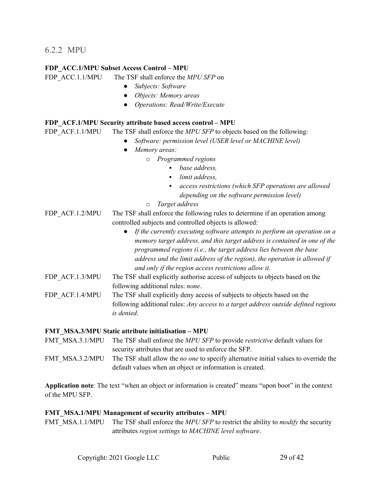6.2.2 MPU

#### **FDP\_ACC.1/MPU Subset Access Control – MPU**

FDP\_ACC.1.1/MPU The TSF shall enforce the *MPU SFP* on

- *Subjects: Software*
- *Objects: Memory areas*
- *Operations: Read/Write/Execute*

#### **FDP\_ACF.1/MPU Security attribute based access control – MPU**

FDP\_ACF.1.1/MPU The TSF shall enforce the *MPU SFP* to objects based on the following:

- *Software: permission level (USER level or MACHINE level)*
- *Memory areas:* 
	- o *Programmed regions* 
		- *base address,*
		- *limit address,*
		- *access restrictions (which SFP operations are allowed depending on the software permission level)*
	- o *Target address*
- FDP ACF.1.2/MPU The TSF shall enforce the following rules to determine if an operation among controlled subjects and controlled objects is allowed:
	- *If the currently executing software attempts to perform an operation on a memory target address, and this target address is contained in one of the programmed regions (i.e., the target address lies between the base address and the limit address of the region), the operation is allowed if and only if the region access restrictions allow it*.
- FDP ACF.1.3/MPU The TSF shall explicitly authorise access of subjects to objects based on the following additional rules: *none*.
- FDP\_ACF.1.4/MPU The TSF shall explicitly deny access of subjects to objects based on the following additional rules: *Any access to a target address outside defined regions is denied*.

#### **FMT\_MSA.3/MPU Static attribute initialisation – MPU**

FMT\_MSA.3.1/MPU The TSF shall enforce the *MPU SFP* to provide *restrictive* default values for security attributes that are used to enforce the SFP. FMT\_MSA.3.2/MPU The TSF shall allow the *no one* to specify alternative initial values to override the default values when an object or information is created.

**Application note**: The text "when an object or information is created" means "upon boot" in the context of the MPU SFP.

#### **FMT\_MSA.1/MPU Management of security attributes – MPU**

FMT\_MSA.1.1/MPU The TSF shall enforce the *MPU SFP* to restrict the ability to *modify* the security attributes *region settings* to *MACHINE level software*.

Copyright: 2021 Google LLC Public 29 of 42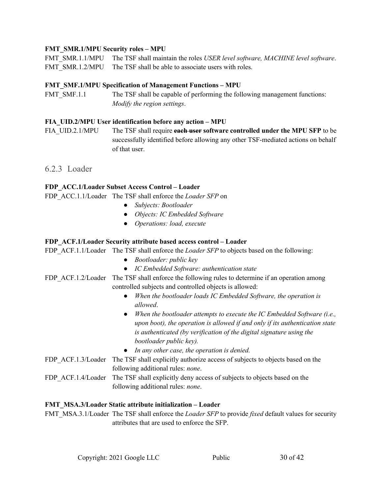#### **FMT\_SMR.1/MPU Security roles – MPU**

FMT\_SMR.1.1/MPU The TSF shall maintain the roles *USER level software, MACHINE level software*. FMT\_SMR.1.2/MPU The TSF shall be able to associate users with roles.

#### **FMT\_SMF.1/MPU Specification of Management Functions – MPU**

FMT\_SMF.1.1 The TSF shall be capable of performing the following management functions: *Modify the region settings*.

#### **FIA\_UID.2/MPU User identification before any action – MPU**

FIA\_UID.2.1/MPU The TSF shall require **each user software controlled under the MPU SFP** to be successfully identified before allowing any other TSF-mediated actions on behalf of that user.

6.2.3 Loader

#### **FDP\_ACC.1/Loader Subset Access Control – Loader**

FDP\_ACC.1.1/Loader The TSF shall enforce the *Loader SFP* on

- *Subjects: Bootloader*
- *Objects: IC Embedded Software*
- *Operations: load, execute*

#### **FDP\_ACF.1/Loader Security attribute based access control – Loader**

FDP\_ACF.1.1/Loader The TSF shall enforce the *Loader SFP* to objects based on the following:

- *Bootloader: public key*
- *IC Embedded Software: authentication state*

#### FDP ACF.1.2/Loader The TSF shall enforce the following rules to determine if an operation among controlled subjects and controlled objects is allowed:

- *When the bootloader loads IC Embedded Software, the operation is allowed*.
- *When the bootloader attempts to execute the IC Embedded Software (i.e., upon boot), the operation is allowed if and only if its authentication state is authenticated (by verification of the digital signature using the bootloader public key).*
- *In any other case, the operation is denied.*
- FDP ACF.1.3/Loader The TSF shall explicitly authorize access of subjects to objects based on the following additional rules: *none*.
- FDP\_ACF.1.4/Loader The TSF shall explicitly deny access of subjects to objects based on the following additional rules: *none*.

#### **FMT\_MSA.3/Loader Static attribute initialization – Loader**

FMT\_MSA.3.1/Loader The TSF shall enforce the *Loader SFP* to provide *fixed* default values for security attributes that are used to enforce the SFP.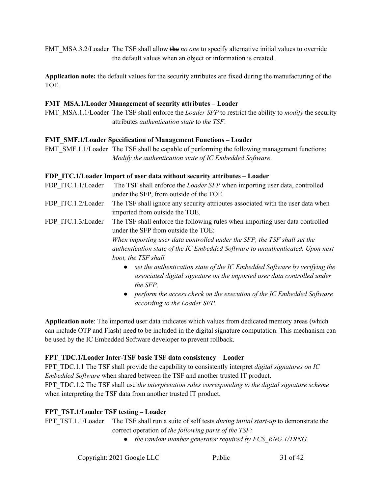FMT\_MSA.3.2/Loader The TSF shall allow **the** *no one* to specify alternative initial values to override the default values when an object or information is created.

**Application note:** the default values for the security attributes are fixed during the manufacturing of the TOE.

#### **FMT\_MSA.1/Loader Management of security attributes – Loader**

FMT\_MSA.1.1/Loader The TSF shall enforce the *Loader SFP* to restrict the ability to *modify* the security attributes *authentication state* to *the TSF*.

#### **FMT\_SMF.1/Loader Specification of Management Functions – Loader**

FMT\_SMF.1.1/Loader The TSF shall be capable of performing the following management functions: *Modify the authentication state of IC Embedded Software*.

#### **FDP\_ITC.1/Loader Import of user data without security attributes – Loader**

| FDP ITC.1.1/Loader | The TSF shall enforce the <i>Loader SFP</i> when importing user data, controlled |
|--------------------|----------------------------------------------------------------------------------|
|                    | under the SFP, from outside of the TOE.                                          |
| FDP ITC.1.2/Loader | The TSF shall ignore any security attributes associated with the user data when  |
|                    | imported from outside the TOE.                                                   |
| FDP ITC.1.3/Loader | The TSF shall enforce the following rules when importing user data controlled    |
|                    | under the SFP from outside the TOE:                                              |
|                    | When importing user data controlled under the SFP, the TSF shall set the         |
|                    | authentication state of the IC Embedded Software to unauthenticated. Upon next   |
|                    | boot, the TSF shall                                                              |
|                    | set the authentication state of the IC Embedded Software by verifying the        |

- *associated digital signature on the imported user data controlled under the SFP,*
- *perform the access check on the execution of the IC Embedded Software according to the Loader SFP.*

**Application note**: The imported user data indicates which values from dedicated memory areas (which can include OTP and Flash) need to be included in the digital signature computation. This mechanism can be used by the IC Embedded Software developer to prevent rollback.

#### **FPT\_TDC.1/Loader Inter-TSF basic TSF data consistency – Loader**

FPT\_TDC.1.1 The TSF shall provide the capability to consistently interpret *digital signatures on IC Embedded Software* when shared between the TSF and another trusted IT product.

FPT\_TDC.1.2 The TSF shall use *the interpretation rules corresponding to the digital signature scheme* when interpreting the TSF data from another trusted IT product.

#### **FPT\_TST.1/Loader TSF testing – Loader**

FPT\_TST.1.1/Loader The TSF shall run a suite of self tests *during initial start-up* to demonstrate the correct operation of *the following parts of the TSF:*

● *the random number generator required by FCS\_RNG.1/TRNG.*

| Copyright: 2021 Google LLC | Public | 31 of 42 |
|----------------------------|--------|----------|
|----------------------------|--------|----------|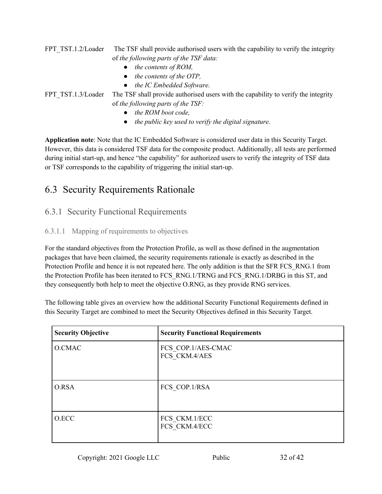| FPT TST.1.2/Loader | The TSF shall provide authorised users with the capability to verify the integrity |  |  |
|--------------------|------------------------------------------------------------------------------------|--|--|
|                    | of the following parts of the TSF data:                                            |  |  |
|                    | $\bullet$ the contents of ROM,                                                     |  |  |
|                    | $\bullet$ the contents of the OTP,                                                 |  |  |
|                    | • the IC Embedded Software.                                                        |  |  |
| FPT TST.1.3/Loader | The TSF shall provide authorised users with the capability to verify the integrity |  |  |
|                    | of the following parts of the TSF:                                                 |  |  |

- *the ROM boot code,*
- *the public key used to verify the digital signature.*

**Application note**: Note that the IC Embedded Software is considered user data in this Security Target. However, this data is considered TSF data for the composite product. Additionally, all tests are performed during initial start-up, and hence "the capability" for authorized users to verify the integrity of TSF data or TSF corresponds to the capability of triggering the initial start-up.

## 6.3 Security Requirements Rationale

### 6.3.1 Security Functional Requirements

#### 6.3.1.1 Mapping of requirements to objectives

For the standard objectives from the Protection Profile, as well as those defined in the augmentation packages that have been claimed, the security requirements rationale is exactly as described in the Protection Profile and hence it is not repeated here. The only addition is that the SFR FCS\_RNG.1 from the Protection Profile has been iterated to FCS\_RNG.1/TRNG and FCS\_RNG.1/DRBG in this ST, and they consequently both help to meet the objective O.RNG, as they provide RNG services.

The following table gives an overview how the additional Security Functional Requirements defined in this Security Target are combined to meet the Security Objectives defined in this Security Target.

| <b>Security Objective</b> | <b>Security Functional Requirements</b> |
|---------------------------|-----------------------------------------|
| O.CMAC                    | FCS COP.1/AES-CMAC<br>FCS CKM.4/AES     |
| O.RSA                     | FCS COP.1/RSA                           |
| O.ECC                     | FCS CKM.1/ECC<br>FCS CKM.4/ECC          |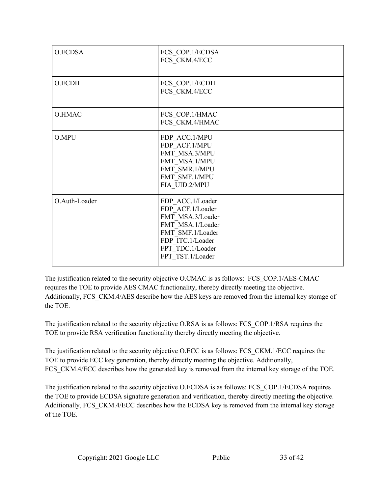| O.ECDSA       | FCS COP.1/ECDSA<br>FCS CKM.4/ECC                                                                                                                             |
|---------------|--------------------------------------------------------------------------------------------------------------------------------------------------------------|
| O.ECDH        | FCS COP.1/ECDH<br>FCS CKM.4/ECC                                                                                                                              |
| O.HMAC        | FCS COP.1/HMAC<br>FCS CKM.4/HMAC                                                                                                                             |
| O.MPU         | FDP ACC.1/MPU<br>FDP ACF.1/MPU<br>FMT MSA.3/MPU<br>FMT MSA.1/MPU<br>FMT SMR.1/MPU<br>FMT SMF.1/MPU<br>FIA UID.2/MPU                                          |
| O.Auth-Loader | FDP ACC.1/Loader<br>FDP ACF.1/Loader<br>FMT MSA.3/Loader<br>FMT MSA.1/Loader<br>FMT SMF.1/Loader<br>FDP ITC.1/Loader<br>FPT TDC.1/Loader<br>FPT TST.1/Loader |

The justification related to the security objective O.CMAC is as follows: FCS\_COP.1/AES-CMAC requires the TOE to provide AES CMAC functionality, thereby directly meeting the objective. Additionally, FCS\_CKM.4/AES describe how the AES keys are removed from the internal key storage of the TOE.

The justification related to the security objective O.RSA is as follows: FCS\_COP.1/RSA requires the TOE to provide RSA verification functionality thereby directly meeting the objective.

The justification related to the security objective O.ECC is as follows: FCS\_CKM.1/ECC requires the TOE to provide ECC key generation, thereby directly meeting the objective. Additionally, FCS CKM.4/ECC describes how the generated key is removed from the internal key storage of the TOE.

The justification related to the security objective O.ECDSA is as follows: FCS\_COP.1/ECDSA requires the TOE to provide ECDSA signature generation and verification, thereby directly meeting the objective. Additionally, FCS CKM.4/ECC describes how the ECDSA key is removed from the internal key storage of the TOE.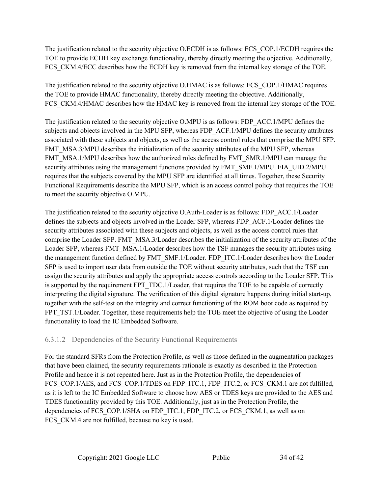The justification related to the security objective O.ECDH is as follows: FCS\_COP.1/ECDH requires the TOE to provide ECDH key exchange functionality, thereby directly meeting the objective. Additionally, FCS CKM.4/ECC describes how the ECDH key is removed from the internal key storage of the TOE.

The justification related to the security objective O.HMAC is as follows: FCS\_COP.1/HMAC requires the TOE to provide HMAC functionality, thereby directly meeting the objective. Additionally, FCS CKM.4/HMAC describes how the HMAC key is removed from the internal key storage of the TOE.

The justification related to the security objective O.MPU is as follows: FDP\_ACC.1/MPU defines the subjects and objects involved in the MPU SFP, whereas FDP\_ACF.1/MPU defines the security attributes associated with these subjects and objects, as well as the access control rules that comprise the MPU SFP. FMT\_MSA.3/MPU describes the initialization of the security attributes of the MPU SFP, whereas FMT\_MSA.1/MPU describes how the authorized roles defined by FMT\_SMR.1/MPU can manage the security attributes using the management functions provided by FMT\_SMF.1/MPU. FIA\_UID.2/MPU requires that the subjects covered by the MPU SFP are identified at all times. Together, these Security Functional Requirements describe the MPU SFP, which is an access control policy that requires the TOE to meet the security objective O.MPU.

The justification related to the security objective O.Auth-Loader is as follows: FDP\_ACC.1/Loader defines the subjects and objects involved in the Loader SFP, whereas FDP\_ACF.1/Loader defines the security attributes associated with these subjects and objects, as well as the access control rules that comprise the Loader SFP. FMT\_MSA.3/Loader describes the initialization of the security attributes of the Loader SFP, whereas FMT\_MSA.1/Loader describes how the TSF manages the security attributes using the management function defined by FMT\_SMF.1/Loader. FDP\_ITC.1/Loader describes how the Loader SFP is used to import user data from outside the TOE without security attributes, such that the TSF can assign the security attributes and apply the appropriate access controls according to the Loader SFP. This is supported by the requirement FPT\_TDC.1/Loader, that requires the TOE to be capable of correctly interpreting the digital signature. The verification of this digital signature happens during initial start-up, together with the self-test on the integrity and correct functioning of the ROM boot code as required by FPT\_TST.1/Loader. Together, these requirements help the TOE meet the objective of using the Loader functionality to load the IC Embedded Software.

### 6.3.1.2 Dependencies of the Security Functional Requirements

For the standard SFRs from the Protection Profile, as well as those defined in the augmentation packages that have been claimed, the security requirements rationale is exactly as described in the Protection Profile and hence it is not repeated here. Just as in the Protection Profile, the dependencies of FCS\_COP.1/AES, and FCS\_COP.1/TDES on FDP\_ITC.1, FDP\_ITC.2, or FCS\_CKM.1 are not fulfilled, as it is left to the IC Embedded Software to choose how AES or TDES keys are provided to the AES and TDES functionality provided by this TOE. Additionally, just as in the Protection Profile, the dependencies of FCS\_COP.1/SHA on FDP\_ITC.1, FDP\_ITC.2, or FCS\_CKM.1, as well as on FCS CKM.4 are not fulfilled, because no key is used.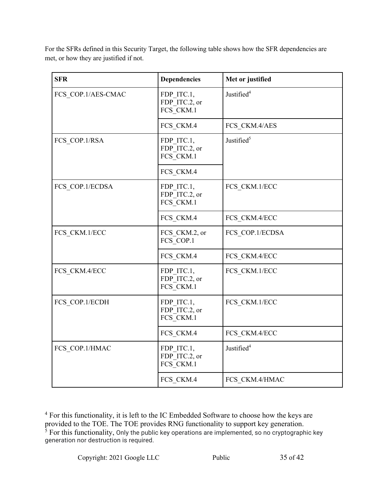For the SFRs defined in this Security Target, the following table shows how the SFR dependencies are met, or how they are justified if not.

| <b>SFR</b>         | <b>Dependencies</b>                      | Met or justified       |
|--------------------|------------------------------------------|------------------------|
| FCS COP.1/AES-CMAC | FDP ITC.1,<br>FDP ITC.2, or<br>FCS CKM.1 | Justified <sup>4</sup> |
|                    | FCS CKM.4                                | FCS CKM.4/AES          |
| FCS COP.1/RSA      | FDP ITC.1,<br>FDP ITC.2, or<br>FCS CKM.1 | Justified <sup>5</sup> |
|                    | FCS CKM.4                                |                        |
| FCS COP.1/ECDSA    | FDP ITC.1,<br>FDP ITC.2, or<br>FCS CKM.1 | FCS CKM.1/ECC          |
|                    | FCS CKM.4                                | FCS CKM.4/ECC          |
| FCS CKM.1/ECC      | FCS CKM.2, or<br>FCS COP.1               | FCS COP.1/ECDSA        |
|                    | FCS CKM.4                                | FCS CKM.4/ECC          |
| FCS CKM.4/ECC      | FDP ITC.1,<br>FDP ITC.2, or<br>FCS CKM.1 | FCS CKM.1/ECC          |
| FCS COP.1/ECDH     | FDP ITC.1,<br>FDP ITC.2, or<br>FCS CKM.1 | FCS CKM.1/ECC          |
|                    | FCS CKM.4                                | FCS CKM.4/ECC          |
| FCS COP.1/HMAC     | FDP ITC.1,<br>FDP ITC.2, or<br>FCS CKM.1 | Justified <sup>4</sup> |
|                    | FCS CKM.4                                | FCS CKM.4/HMAC         |

<sup>4</sup> For this functionality, it is left to the IC Embedded Software to choose how the keys are provided to the TOE. The TOE provides RNG functionality to support key generation.  $5$  For this functionality, Only the public key operations are implemented, so no cryptographic key generation nor destruction is required.

Copyright: 2021 Google LLC Public 35 of 42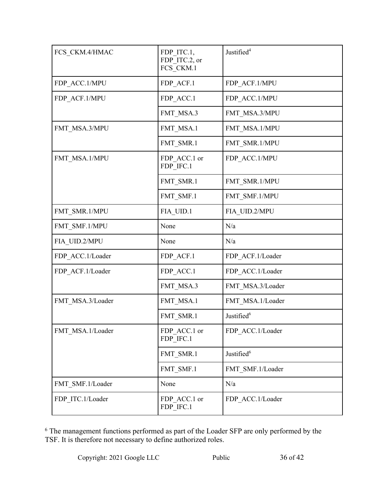| FCS CKM.4/HMAC   | FDP ITC.1,<br>FDP ITC.2, or<br>FCS CKM.1 | Justified <sup>4</sup> |
|------------------|------------------------------------------|------------------------|
| FDP ACC.1/MPU    | FDP ACF.1                                | FDP ACF.1/MPU          |
| FDP ACF.1/MPU    | FDP ACC.1                                | FDP ACC.1/MPU          |
|                  | FMT MSA.3                                | FMT MSA.3/MPU          |
| FMT MSA.3/MPU    | FMT MSA.1                                | FMT MSA.1/MPU          |
|                  | FMT SMR.1                                | FMT SMR.1/MPU          |
| FMT MSA.1/MPU    | FDP ACC.1 or<br>FDP IFC.1                | FDP ACC.1/MPU          |
|                  | FMT SMR.1                                | FMT_SMR.1/MPU          |
|                  | FMT SMF.1                                | FMT SMF.1/MPU          |
| FMT SMR.1/MPU    | FIA_UID.1                                | FIA UID.2/MPU          |
| FMT SMF.1/MPU    | None                                     | N/a                    |
| FIA UID.2/MPU    | None                                     | N/a                    |
| FDP ACC.1/Loader | FDP ACF.1                                | FDP ACF.1/Loader       |
| FDP ACF.1/Loader | FDP ACC.1                                | FDP ACC.1/Loader       |
|                  | FMT MSA.3                                | FMT MSA.3/Loader       |
| FMT MSA.3/Loader | FMT MSA.1                                | FMT MSA.1/Loader       |
|                  | FMT SMR.1                                | Justified <sup>6</sup> |
| FMT MSA.1/Loader | FDP ACC.1 or<br>FDP IFC.1                | FDP ACC.1/Loader       |
|                  | FMT SMR.1                                | Justified <sup>6</sup> |
|                  | FMT SMF.1                                | FMT SMF.1/Loader       |
| FMT SMF.1/Loader | None                                     | N/a                    |
| FDP ITC.1/Loader | FDP ACC.1 or<br>FDP IFC.1                | FDP ACC.1/Loader       |

 $6$  The management functions performed as part of the Loader SFP are only performed by the TSF. It is therefore not necessary to define authorized roles.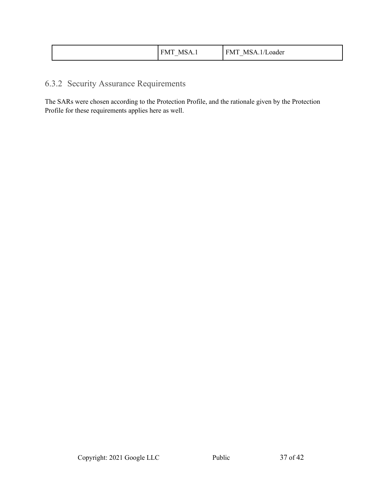|  | -<br>` | ┳.<br>$\sim$<br>EN/L<br>v<br>$\overline{\phantom{a}}$ |
|--|--------|-------------------------------------------------------|
|--|--------|-------------------------------------------------------|

## 6.3.2 Security Assurance Requirements

The SARs were chosen according to the Protection Profile, and the rationale given by the Protection Profile for these requirements applies here as well.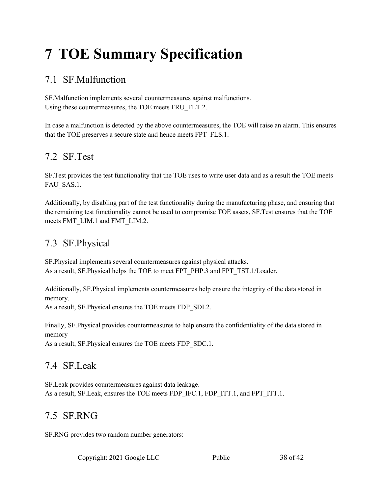# **7 TOE Summary Specification**

# 7.1 SF.Malfunction

SF.Malfunction implements several countermeasures against malfunctions. Using these countermeasures, the TOE meets FRU\_FLT.2.

In case a malfunction is detected by the above countermeasures, the TOE will raise an alarm. This ensures that the TOE preserves a secure state and hence meets FPT\_FLS.1.

# 7.2 SF.Test

SF.Test provides the test functionality that the TOE uses to write user data and as a result the TOE meets FAU\_SAS.1.

Additionally, by disabling part of the test functionality during the manufacturing phase, and ensuring that the remaining test functionality cannot be used to compromise TOE assets, SF.Test ensures that the TOE meets FMT\_LIM.1 and FMT\_LIM.2.

## 7.3 SF.Physical

SF.Physical implements several countermeasures against physical attacks. As a result, SF.Physical helps the TOE to meet FPT\_PHP.3 and FPT\_TST.1/Loader.

Additionally, SF.Physical implements countermeasures help ensure the integrity of the data stored in memory.

As a result, SF.Physical ensures the TOE meets FDP\_SDI.2.

Finally, SF.Physical provides countermeasures to help ensure the confidentiality of the data stored in memory

As a result, SF.Physical ensures the TOE meets FDP\_SDC.1.

## 7.4 SF.Leak

SF.Leak provides countermeasures against data leakage. As a result, SF. Leak, ensures the TOE meets FDP IFC.1, FDP ITT.1, and FPT ITT.1.

## 7.5 SF.RNG

SF.RNG provides two random number generators:

Copyright: 2021 Google LLC Public 38 of 42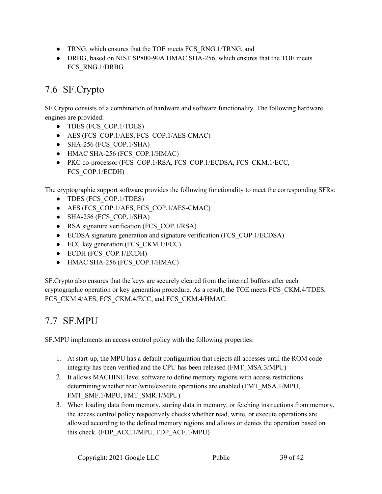- TRNG, which ensures that the TOE meets FCS\_RNG.1/TRNG, and
- DRBG, based on NIST SP800-90A HMAC SHA-256, which ensures that the TOE meets FCS\_RNG.1/DRBG

# 7.6 SF.Crypto

SF.Crypto consists of a combination of hardware and software functionality. The following hardware engines are provided:

- TDES (FCS COP.1/TDES)
- AES (FCS\_COP.1/AES, FCS\_COP.1/AES-CMAC)
- SHA-256 (FCS\_COP.1/SHA)
- HMAC SHA-256 (FCS\_COP.1/HMAC)
- PKC co-processor (FCS\_COP.1/RSA, FCS\_COP.1/ECDSA, FCS\_CKM.1/ECC, FCS\_COP.1/ECDH)

The cryptographic support software provides the following functionality to meet the corresponding SFRs:

- TDES (FCS COP.1/TDES)
- AES (FCS\_COP.1/AES, FCS\_COP.1/AES-CMAC)
- $\bullet$  SHA-256 (FCS COP.1/SHA)
- RSA signature verification (FCS\_COP.1/RSA)
- ECDSA signature generation and signature verification (FCS COP.1/ECDSA)
- ECC key generation (FCS CKM.1/ECC)
- ECDH (FCS\_COP.1/ECDH)
- HMAC SHA-256 (FCS\_COP.1/HMAC)

SF.Crypto also ensures that the keys are securely cleared from the internal buffers after each cryptographic operation or key generation procedure. As a result, the TOE meets FCS\_CKM.4/TDES, FCS\_CKM.4/AES, FCS\_CKM.4/ECC, and FCS\_CKM.4/HMAC.

## 7.7 SF.MPU

SF.MPU implements an access control policy with the following properties:

- 1. At start-up, the MPU has a default configuration that rejects all accesses until the ROM code integrity has been verified and the CPU has been released (FMT\_MSA.3/MPU)
- 2. It allows MACHINE level software to define memory regions with access restrictions determining whether read/write/execute operations are enabled (FMT\_MSA.1/MPU, FMT\_SMF.1/MPU, FMT\_SMR.1/MPU)
- 3. When loading data from memory, storing data in memory, or fetching instructions from memory, the access control policy respectively checks whether read, write, or execute operations are allowed according to the defined memory regions and allows or denies the operation based on this check. (FDP\_ACC.1/MPU, FDP\_ACF.1/MPU)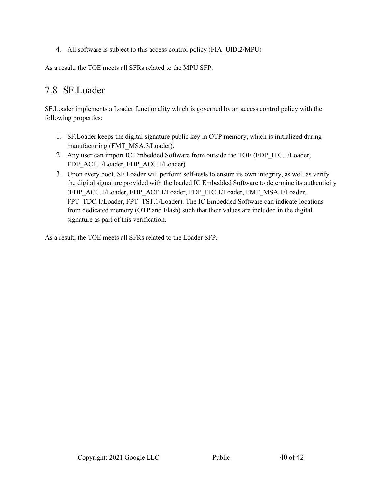4. All software is subject to this access control policy (FIA\_UID.2/MPU)

As a result, the TOE meets all SFRs related to the MPU SFP.

## 7.8 SF.Loader

SF.Loader implements a Loader functionality which is governed by an access control policy with the following properties:

- 1. SF.Loader keeps the digital signature public key in OTP memory, which is initialized during manufacturing (FMT\_MSA.3/Loader).
- 2. Any user can import IC Embedded Software from outside the TOE (FDP\_ITC.1/Loader, FDP\_ACF.1/Loader, FDP\_ACC.1/Loader)
- 3. Upon every boot, SF.Loader will perform self-tests to ensure its own integrity, as well as verify the digital signature provided with the loaded IC Embedded Software to determine its authenticity (FDP\_ACC.1/Loader, FDP\_ACF.1/Loader, FDP\_ITC.1/Loader, FMT\_MSA.1/Loader, FPT\_TDC.1/Loader, FPT\_TST.1/Loader). The IC Embedded Software can indicate locations from dedicated memory (OTP and Flash) such that their values are included in the digital signature as part of this verification.

As a result, the TOE meets all SFRs related to the Loader SFP.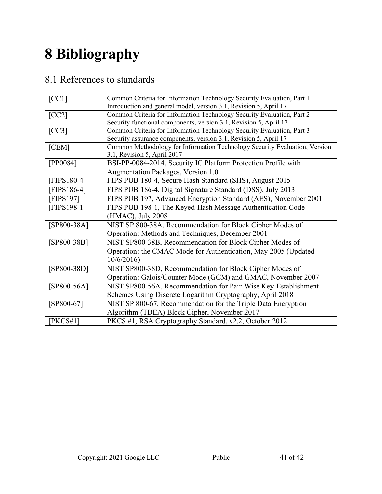# **8 Bibliography**

## 8.1 References to standards

| [CC1]         | Common Criteria for Information Technology Security Evaluation, Part 1     |  |  |
|---------------|----------------------------------------------------------------------------|--|--|
|               | Introduction and general model, version 3.1, Revision 5, April 17          |  |  |
| [CC2]         | Common Criteria for Information Technology Security Evaluation, Part 2     |  |  |
|               | Security functional components, version 3.1, Revision 5, April 17          |  |  |
| [CC3]         | Common Criteria for Information Technology Security Evaluation, Part 3     |  |  |
|               | Security assurance components, version 3.1, Revision 5, April 17           |  |  |
| [CEM]         | Common Methodology for Information Technology Security Evaluation, Version |  |  |
|               | 3.1, Revision 5, April 2017                                                |  |  |
| [PP0084]      | BSI-PP-0084-2014, Security IC Platform Protection Profile with             |  |  |
|               | Augmentation Packages, Version 1.0                                         |  |  |
| FIPS180-4]    | FIPS PUB 180-4, Secure Hash Standard (SHS), August 2015                    |  |  |
| [FIPS186-4]   | FIPS PUB 186-4, Digital Signature Standard (DSS), July 2013                |  |  |
| [FIPS197]     | FIPS PUB 197, Advanced Encryption Standard (AES), November 2001            |  |  |
| [FIPS198-1]   | FIPS PUB 198-1, The Keyed-Hash Message Authentication Code                 |  |  |
|               | $(HMAC)$ , July 2008                                                       |  |  |
| $[SP800-38A]$ | NIST SP 800-38A, Recommendation for Block Cipher Modes of                  |  |  |
|               | Operation: Methods and Techniques, December 2001                           |  |  |
| [SP800-38B]   | NIST SP800-38B, Recommendation for Block Cipher Modes of                   |  |  |
|               | Operation: the CMAC Mode for Authentication, May 2005 (Updated             |  |  |
|               | 10/6/2016                                                                  |  |  |
| $[SP800-38D]$ | NIST SP800-38D, Recommendation for Block Cipher Modes of                   |  |  |
|               | Operation: Galois/Counter Mode (GCM) and GMAC, November 2007               |  |  |
| $[SP800-56A]$ | NIST SP800-56A, Recommendation for Pair-Wise Key-Establishment             |  |  |
|               | Schemes Using Discrete Logarithm Cryptography, April 2018                  |  |  |
| [SP800-67]    | NIST SP 800-67, Recommendation for the Triple Data Encryption              |  |  |
|               | Algorithm (TDEA) Block Cipher, November 2017                               |  |  |
| [PKCS#1]      | PKCS #1, RSA Cryptography Standard, v2.2, October 2012                     |  |  |